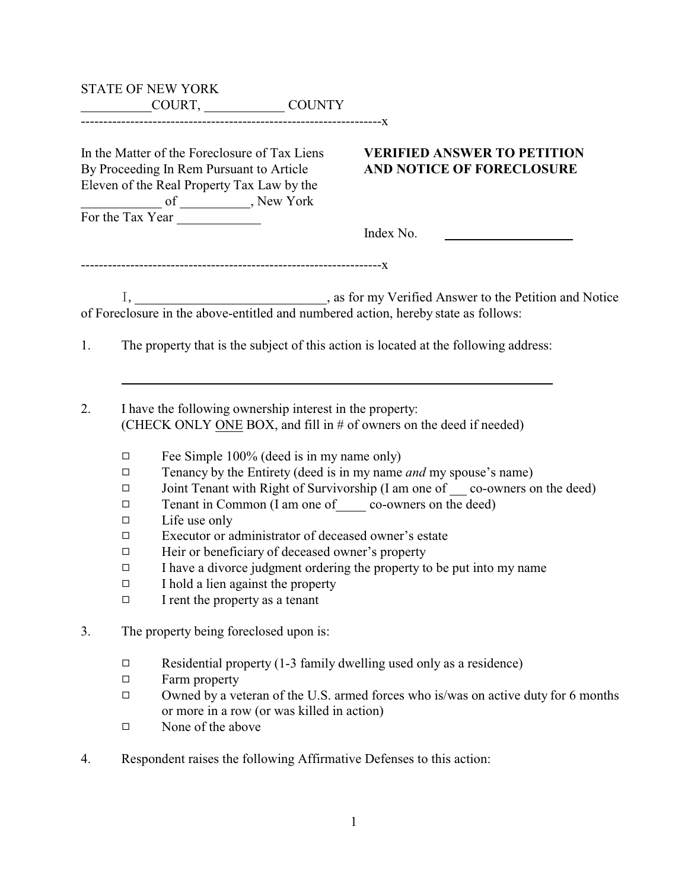|                                                                            | <b>STATE OF NEW YORK</b><br>COURT, COUNTY                                                                                                                                                                                                                                                                                                                               |                                                                                                                                                                                                                                |  |  |
|----------------------------------------------------------------------------|-------------------------------------------------------------------------------------------------------------------------------------------------------------------------------------------------------------------------------------------------------------------------------------------------------------------------------------------------------------------------|--------------------------------------------------------------------------------------------------------------------------------------------------------------------------------------------------------------------------------|--|--|
|                                                                            | In the Matter of the Foreclosure of Tax Liens<br>By Proceeding In Rem Pursuant to Article<br>Eleven of the Real Property Tax Law by the<br>For the Tax Year                                                                                                                                                                                                             | <b>VERIFIED ANSWER TO PETITION</b><br>AND NOTICE OF FORECLOSURE                                                                                                                                                                |  |  |
|                                                                            |                                                                                                                                                                                                                                                                                                                                                                         | Index No.<br><u> 1980 - Jan Jawa Barat, prima prima prima prima prima prima prima prima prima prima prima prima prima prima p</u>                                                                                              |  |  |
|                                                                            |                                                                                                                                                                                                                                                                                                                                                                         |                                                                                                                                                                                                                                |  |  |
|                                                                            |                                                                                                                                                                                                                                                                                                                                                                         |                                                                                                                                                                                                                                |  |  |
| 1.                                                                         | The property that is the subject of this action is located at the following address:                                                                                                                                                                                                                                                                                    |                                                                                                                                                                                                                                |  |  |
| 2.                                                                         | I have the following ownership interest in the property:<br>(CHECK ONLY ONE BOX, and fill in # of owners on the deed if needed)                                                                                                                                                                                                                                         |                                                                                                                                                                                                                                |  |  |
|                                                                            | Fee Simple 100% (deed is in my name only)<br>□<br>□<br>□<br>Tenant in Common (I am one of ________ co-owners on the deed)<br>□<br>Life use only<br>□<br>Executor or administrator of deceased owner's estate<br>□<br>Heir or beneficiary of deceased owner's property<br>□<br>$\Box$<br>I hold a lien against the property<br>□<br>I rent the property as a tenant<br>□ | Tenancy by the Entirety (deed is in my name and my spouse's name)<br>Joint Tenant with Right of Survivorship (I am one of ___ co-owners on the deed)<br>I have a divorce judgment ordering the property to be put into my name |  |  |
| The property being foreclosed upon is:<br>3.                               |                                                                                                                                                                                                                                                                                                                                                                         |                                                                                                                                                                                                                                |  |  |
|                                                                            | $\Box$<br>Farm property<br>$\Box$<br>$\Box$<br>or more in a row (or was killed in action)<br>None of the above<br>□                                                                                                                                                                                                                                                     | Residential property (1-3 family dwelling used only as a residence)<br>Owned by a veteran of the U.S. armed forces who is/was on active duty for 6 months                                                                      |  |  |
| Respondent raises the following Affirmative Defenses to this action:<br>4. |                                                                                                                                                                                                                                                                                                                                                                         |                                                                                                                                                                                                                                |  |  |
|                                                                            |                                                                                                                                                                                                                                                                                                                                                                         |                                                                                                                                                                                                                                |  |  |
|                                                                            |                                                                                                                                                                                                                                                                                                                                                                         | $\mathbf{1}$                                                                                                                                                                                                                   |  |  |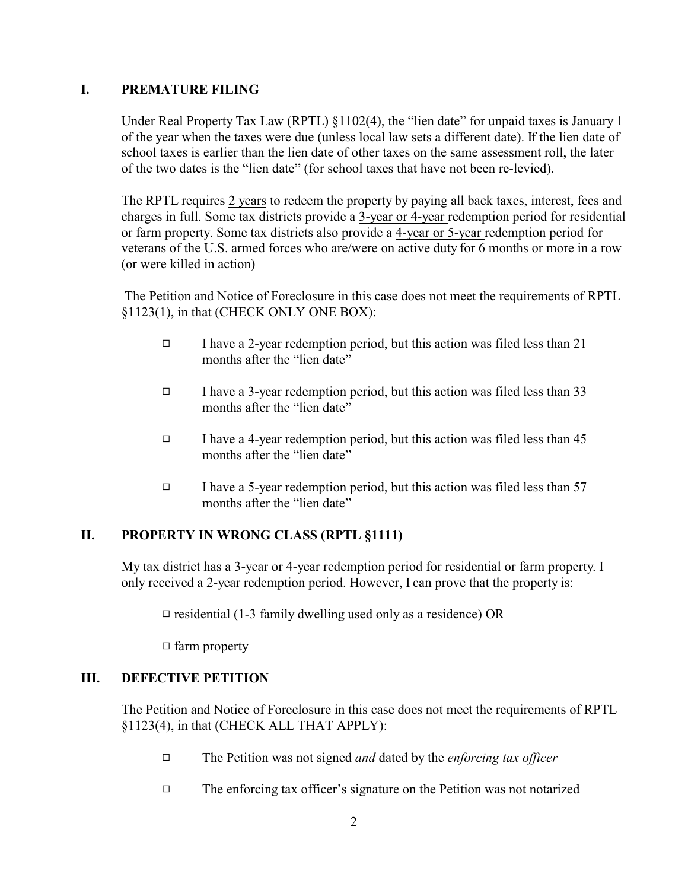#### **I. PREMATURE FILING**

Under Real Property Tax Law (RPTL) §1102(4), the "lien date" for unpaid taxes is January 1 of the year when the taxes were due (unless local law sets a different date). If the lien date of school taxes is earlier than the lien date of other taxes on the same assessment roll, the later of the two dates is the "lien date" (for school taxes that have not been re-levied).

The RPTL requires 2 years to redeem the property by paying all back taxes, interest, fees and charges in full. Some tax districts provide a 3-year or 4-year redemption period for residential or farm property. Some tax districts also provide a 4-year or 5-year redemption period for veterans of the U.S. armed forces who are/were on active duty for 6 months or more in a row (or were killed in action)

 The Petition and Notice of Foreclosure in this case does not meet the requirements of RPTL §1123(1), in that (CHECK ONLY ONE BOX):

- $\Box$  I have a 2-year redemption period, but this action was filed less than 21 months after the "lien date"
- $\Box$  I have a 3-year redemption period, but this action was filed less than 33 months after the "lien date"
- $\Box$  I have a 4-year redemption period, but this action was filed less than 45 months after the "lien date"
- $\Box$  I have a 5-year redemption period, but this action was filed less than 57 months after the "lien date"

## **II. PROPERTY IN WRONG CLASS (RPTL §1111)**

My tax district has a 3-year or 4-year redemption period for residential or farm property. I only received a 2-year redemption period. However, I can prove that the property is:

 $\Box$  residential (1-3 family dwelling used only as a residence) OR

 $\Box$  farm property

## **III. DEFECTIVE PETITION**

The Petition and Notice of Foreclosure in this case does not meet the requirements of RPTL §1123(4), in that (CHECK ALL THAT APPLY):

- 9 The Petition was not signed *and* dated by the *enforcing tax officer*
- $\Box$  The enforcing tax officer's signature on the Petition was not notarized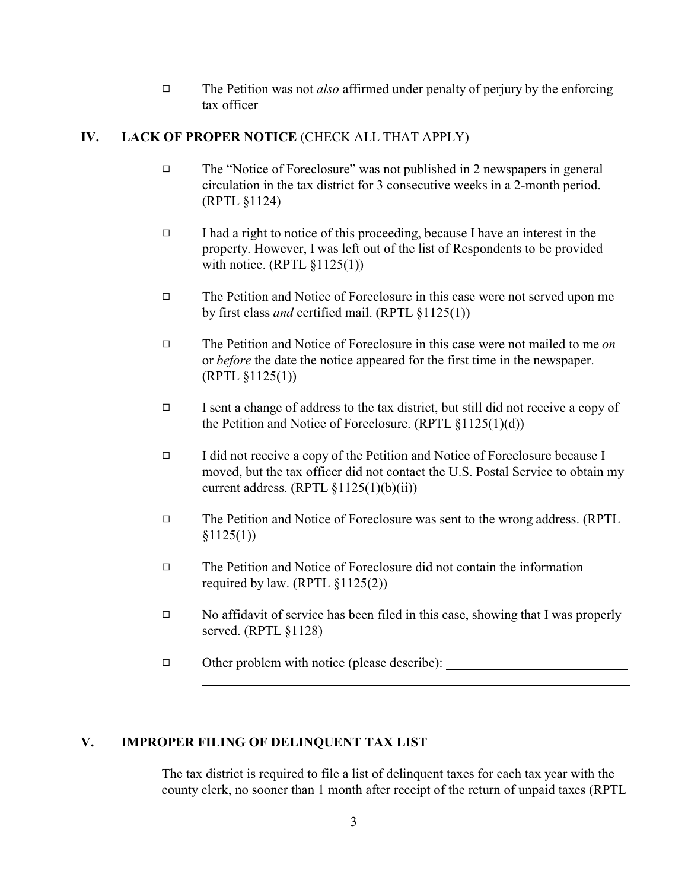9 The Petition was not *also* affirmed under penalty of perjury by the enforcing tax officer

## **IV. LACK OF PROPER NOTICE** (CHECK ALL THAT APPLY)

- $\Box$  The "Notice of Foreclosure" was not published in 2 newspapers in general circulation in the tax district for 3 consecutive weeks in a 2-month period. (RPTL §1124)
- $\Box$  I had a right to notice of this proceeding, because I have an interest in the property. However, I was left out of the list of Respondents to be provided with notice.  $(RPTL \S 1125(1))$
- $\Box$  The Petition and Notice of Foreclosure in this case were not served upon me by first class *and* certified mail. (RPTL §1125(1))
- 9 The Petition and Notice of Foreclosure in this case were not mailed to me *on* or *before* the date the notice appeared for the first time in the newspaper. (RPTL §1125(1))
- $\Box$  I sent a change of address to the tax district, but still did not receive a copy of the Petition and Notice of Foreclosure. (RPTL §1125(1)(d))
- $\Box$  I did not receive a copy of the Petition and Notice of Foreclosure because I moved, but the tax officer did not contact the U.S. Postal Service to obtain my current address.  $(RPTL \S 1125(1)(b)(ii))$
- $\Box$  The Petition and Notice of Foreclosure was sent to the wrong address. (RPTL  $$1125(1))$
- $\Box$  The Petition and Notice of Foreclosure did not contain the information required by law. (RPTL  $\S1125(2)$ )
- $\Box$  No affidavit of service has been filed in this case, showing that I was properly served. (RPTL §1128)
- □ Other problem with notice (please describe): \_\_\_\_\_\_\_\_\_\_\_\_\_\_\_\_\_\_\_\_\_\_\_\_\_\_\_\_\_\_\_\_\_

#### **V. IMPROPER FILING OF DELINQUENT TAX LIST**

 $\overline{a}$ 

 $\overline{a}$ 

The tax district is required to file a list of delinquent taxes for each tax year with the county clerk, no sooner than 1 month after receipt of the return of unpaid taxes (RPTL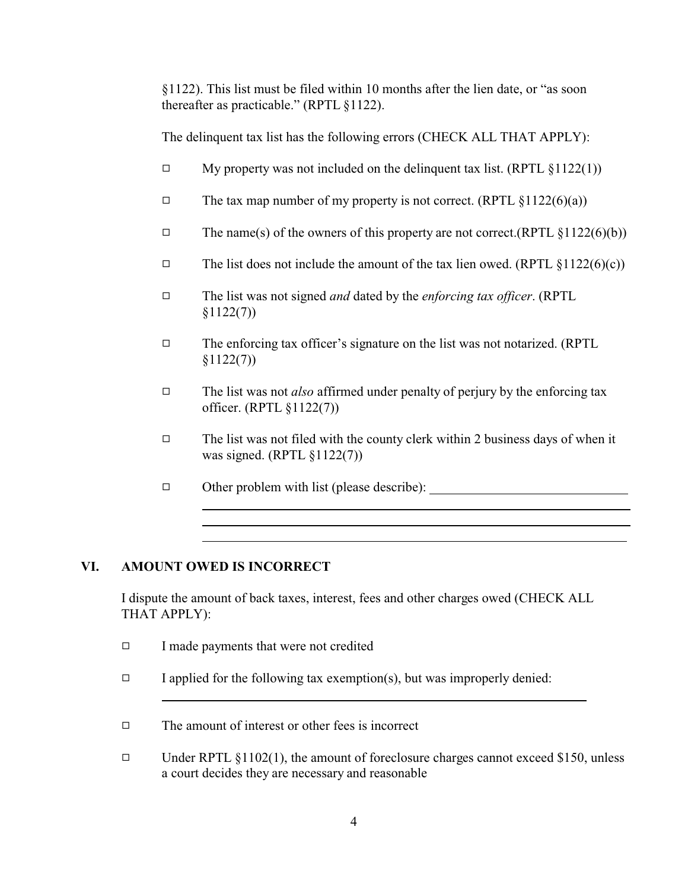§1122). This list must be filed within 10 months after the lien date, or "as soon thereafter as practicable." (RPTL §1122).

The delinquent tax list has the following errors (CHECK ALL THAT APPLY):

- $\Box$  My property was not included on the delinquent tax list. (RPTL §1122(1))
- $\Box$  The tax map number of my property is not correct. (RPTL §1122(6)(a))
- $\Box$  The name(s) of the owners of this property are not correct.(RPTL §1122(6)(b))
- $\Box$  The list does not include the amount of the tax lien owed. (RPTL §1122(6)(c))
- 9 The list was not signed *and* dated by the *enforcing tax officer*. (RPTL §1122(7))
- $\Box$  The enforcing tax officer's signature on the list was not notarized. (RPTL §1122(7))
- □ The list was not *also* affirmed under penalty of perjury by the enforcing tax officer. (RPTL §1122(7))
- $\Box$  The list was not filed with the county clerk within 2 business days of when it was signed. (RPTL §1122(7))

 $\Box$  Other problem with list (please describe):

# **VI. AMOUNT OWED IS INCORRECT**

 $\overline{a}$ 

 $\overline{a}$ 

 $\overline{a}$ 

I dispute the amount of back taxes, interest, fees and other charges owed (CHECK ALL THAT APPLY):

- $\Box$  I made payments that were not credited
- $\Box$  I applied for the following tax exemption(s), but was improperly denied:
- $\Box$  The amount of interest or other fees is incorrect
- $\Box$  Under RPTL §1102(1), the amount of foreclosure charges cannot exceed \$150, unless a court decides they are necessary and reasonable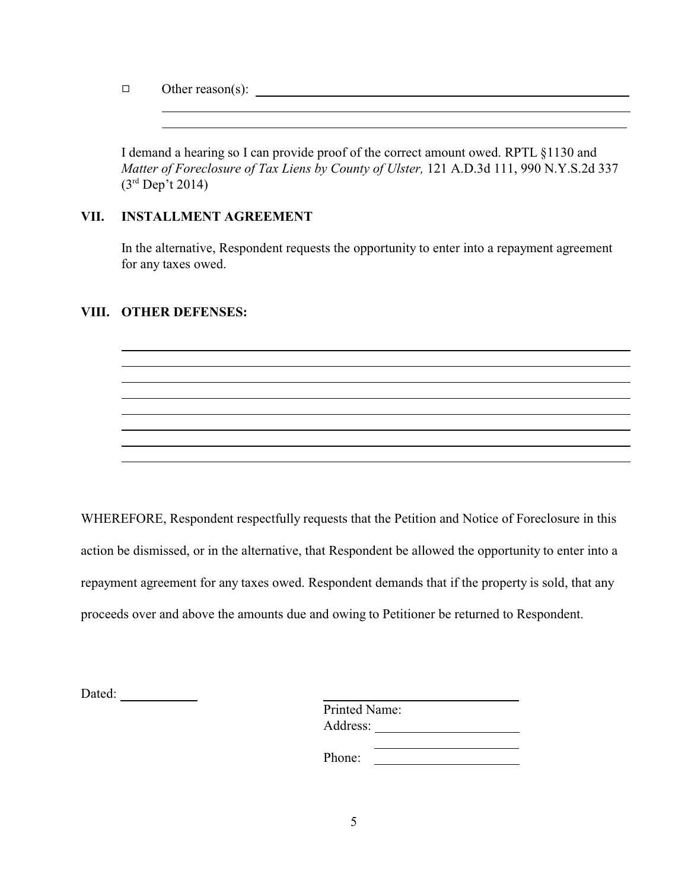$\Box$  Other reason(s):

 $\overline{a}$  $\overline{a}$ 

I demand a hearing so I can provide proof of the correct amount owed. RPTL §1130 and *Matter of Foreclosure of Tax Liens by County of Ulster,* 121 A.D.3d 111, 990 N.Y.S.2d 337 (3rd Dep't 2014)

## **VII. INSTALLMENT AGREEMENT**

In the alternative, Respondent requests the opportunity to enter into a repayment agreement for any taxes owed.

#### **VIII. OTHER DEFENSES:**

 $\overline{a}$ 

WHEREFORE, Respondent respectfully requests that the Petition and Notice of Foreclosure in this action be dismissed, or in the alternative, that Respondent be allowed the opportunity to enter into a repayment agreement for any taxes owed. Respondent demands that if the property is sold, that any proceeds over and above the amounts due and owing to Petitioner be returned to Respondent.

Dated:

| <b>Printed Name:</b> |  |  |
|----------------------|--|--|
| Address:             |  |  |
|                      |  |  |

Phone: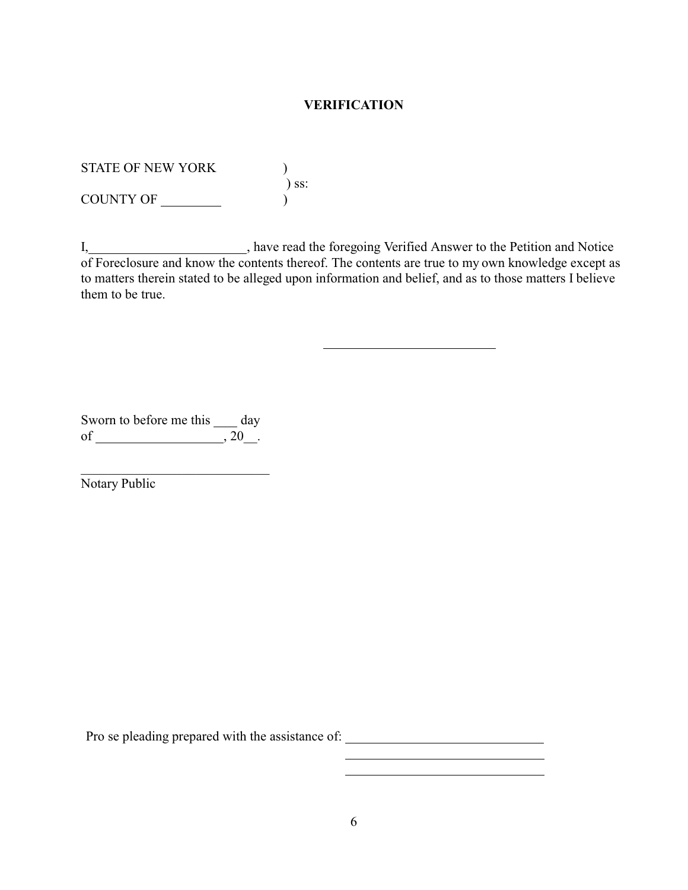#### **VERIFICATION**

STATE OF NEW YORK )

) ss:

COUNTY OF  $\qquad \qquad$ 

I, have read the foregoing Verified Answer to the Petition and Notice of Foreclosure and know the contents thereof. The contents are true to my own knowledge except as to matters therein stated to be alleged upon information and belief, and as to those matters I believe them to be true.

Sworn to before me this \_\_\_\_ day of  $\overline{\phantom{a}}$ , 20.

\_\_\_\_\_\_\_\_\_\_\_\_\_\_\_\_\_\_\_\_\_\_\_\_\_\_\_\_ Notary Public

Pro se pleading prepared with the assistance of: